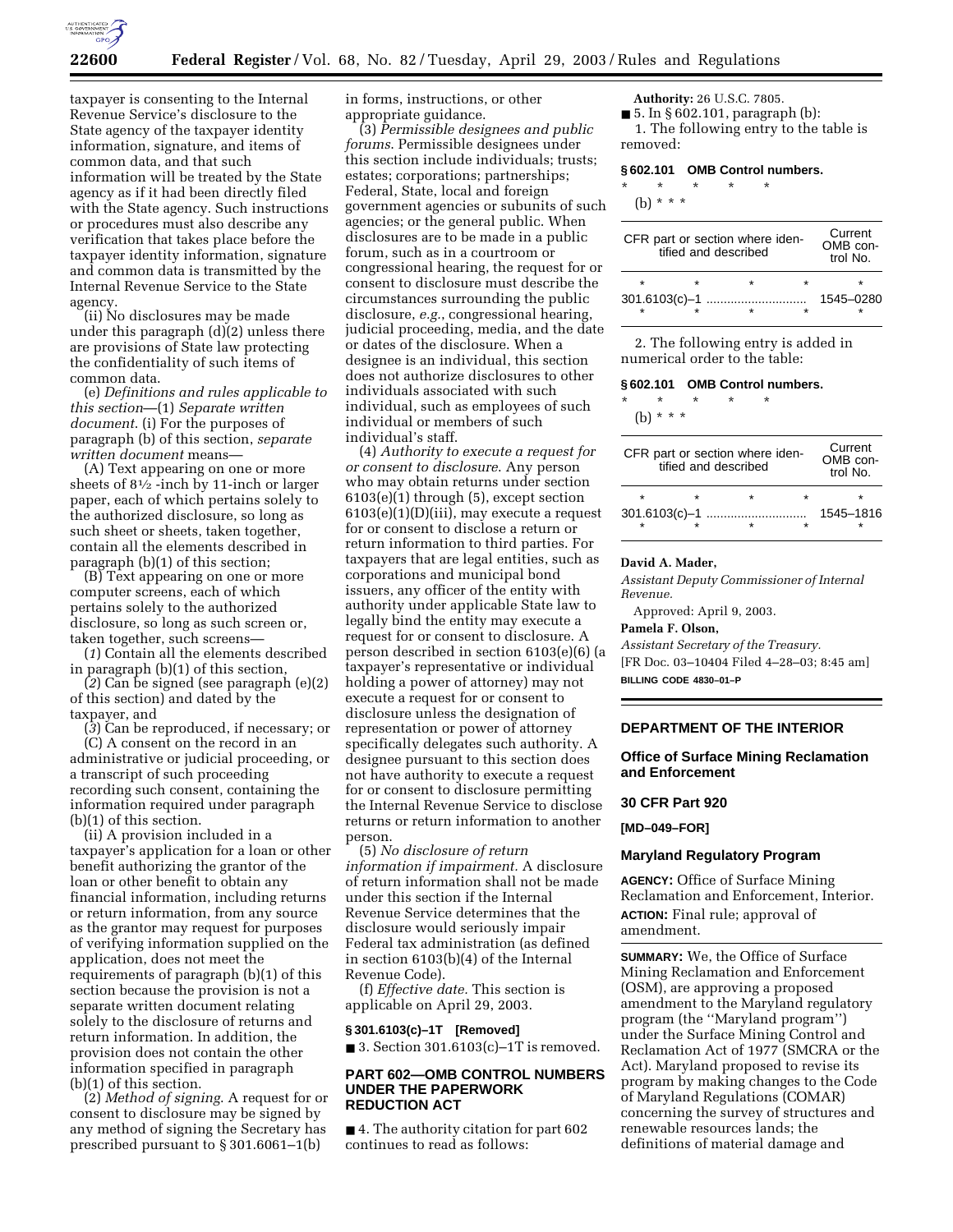

taxpayer is consenting to the Internal Revenue Service's disclosure to the State agency of the taxpayer identity information, signature, and items of common data, and that such information will be treated by the State agency as if it had been directly filed with the State agency. Such instructions or procedures must also describe any verification that takes place before the taxpayer identity information, signature and common data is transmitted by the Internal Revenue Service to the State agency.

(ii) No disclosures may be made under this paragraph (d)(2) unless there are provisions of State law protecting the confidentiality of such items of common data.

(e) *Definitions and rules applicable to this section*—(1) *Separate written document*. (i) For the purposes of paragraph (b) of this section, *separate written document* means—

(A) Text appearing on one or more sheets of 81⁄2 -inch by 11-inch or larger paper, each of which pertains solely to the authorized disclosure, so long as such sheet or sheets, taken together, contain all the elements described in paragraph (b)(1) of this section;

(B) Text appearing on one or more computer screens, each of which pertains solely to the authorized disclosure, so long as such screen or, taken together, such screens—

(*1*) Contain all the elements described in paragraph (b)(1) of this section,

(*2*) Can be signed (see paragraph (e)(2) of this section) and dated by the taxpayer, and

(*3*) Can be reproduced, if necessary; or

(C) A consent on the record in an administrative or judicial proceeding, or a transcript of such proceeding recording such consent, containing the information required under paragraph (b)(1) of this section.

(ii) A provision included in a taxpayer's application for a loan or other benefit authorizing the grantor of the loan or other benefit to obtain any financial information, including returns or return information, from any source as the grantor may request for purposes of verifying information supplied on the application, does not meet the requirements of paragraph (b)(1) of this section because the provision is not a separate written document relating solely to the disclosure of returns and return information. In addition, the provision does not contain the other information specified in paragraph (b)(1) of this section.

(2) *Method of signing*. A request for or consent to disclosure may be signed by any method of signing the Secretary has prescribed pursuant to § 301.6061–1(b)

in forms, instructions, or other appropriate guidance.

(3) *Permissible designees and public forums*. Permissible designees under this section include individuals; trusts; estates; corporations; partnerships; Federal, State, local and foreign government agencies or subunits of such agencies; or the general public. When disclosures are to be made in a public forum, such as in a courtroom or congressional hearing, the request for or consent to disclosure must describe the circumstances surrounding the public disclosure, *e.g.*, congressional hearing, judicial proceeding, media, and the date or dates of the disclosure. When a designee is an individual, this section does not authorize disclosures to other individuals associated with such individual, such as employees of such individual or members of such individual's staff.

(4) *Authority to execute a request for or consent to disclosure*. Any person who may obtain returns under section 6103(e)(1) through (5), except section 6103(e)(1)(D)(iii), may execute a request for or consent to disclose a return or return information to third parties. For taxpayers that are legal entities, such as corporations and municipal bond issuers, any officer of the entity with authority under applicable State law to legally bind the entity may execute a request for or consent to disclosure. A person described in section 6103(e)(6) (a taxpayer's representative or individual holding a power of attorney) may not execute a request for or consent to disclosure unless the designation of representation or power of attorney specifically delegates such authority. A designee pursuant to this section does not have authority to execute a request for or consent to disclosure permitting the Internal Revenue Service to disclose returns or return information to another person.

(5) *No disclosure of return information if impairment.* A disclosure of return information shall not be made under this section if the Internal Revenue Service determines that the disclosure would seriously impair Federal tax administration (as defined in section 6103(b)(4) of the Internal Revenue Code).

(f) *Effective date.* This section is applicable on April 29, 2003.

#### **§ 301.6103(c)–1T [Removed]**  $\blacksquare$  3. Section 301.6103(c)-1T is removed.

## **PART 602—OMB CONTROL NUMBERS UNDER THE PAPERWORK REDUCTION ACT**

■ 4. The authority citation for part 602 continues to read as follows:

**Authority:** 26 U.S.C. 7805.

 $\blacksquare$  5. In § 602.101, paragraph (b): 1. The following entry to the table is removed:

#### **§ 602.101 OMB Control numbers.**

\* \* \* \* \*

(b) \* \* \*

| CFR part or section where iden-<br>tified and described | Current<br>OMB con-<br>trol No. |  |           |
|---------------------------------------------------------|---------------------------------|--|-----------|
| $\star$                                                 |                                 |  |           |
|                                                         |                                 |  | 1545-0280 |

2. The following entry is added in numerical order to the table:

# **§ 602.101 OMB Control numbers.**

\* \* \* \* \*

(b) \* \* \*

| CFR part or section where iden-<br>tified and described | Current<br>OMB con-<br>trol $No$ . |   |           |
|---------------------------------------------------------|------------------------------------|---|-----------|
| ÷                                                       |                                    | ÷ | ÷         |
|                                                         |                                    |   | 1545-1816 |

#### **David A. Mader,**

*Assistant Deputy Commissioner of Internal Revenue.* 

Approved: April 9, 2003.

#### **Pamela F. Olson,**

*Assistant Secretary of the Treasury.* [FR Doc. 03–10404 Filed 4–28–03; 8:45 am] **BILLING CODE 4830–01–P**

## **DEPARTMENT OF THE INTERIOR**

## **Office of Surface Mining Reclamation and Enforcement**

#### **30 CFR Part 920**

**[MD–049–FOR]** 

#### **Maryland Regulatory Program**

**AGENCY:** Office of Surface Mining Reclamation and Enforcement, Interior. **ACTION:** Final rule; approval of amendment.

**SUMMARY:** We, the Office of Surface Mining Reclamation and Enforcement (OSM), are approving a proposed amendment to the Maryland regulatory program (the ''Maryland program'') under the Surface Mining Control and Reclamation Act of 1977 (SMCRA or the Act). Maryland proposed to revise its program by making changes to the Code of Maryland Regulations (COMAR) concerning the survey of structures and renewable resources lands; the definitions of material damage and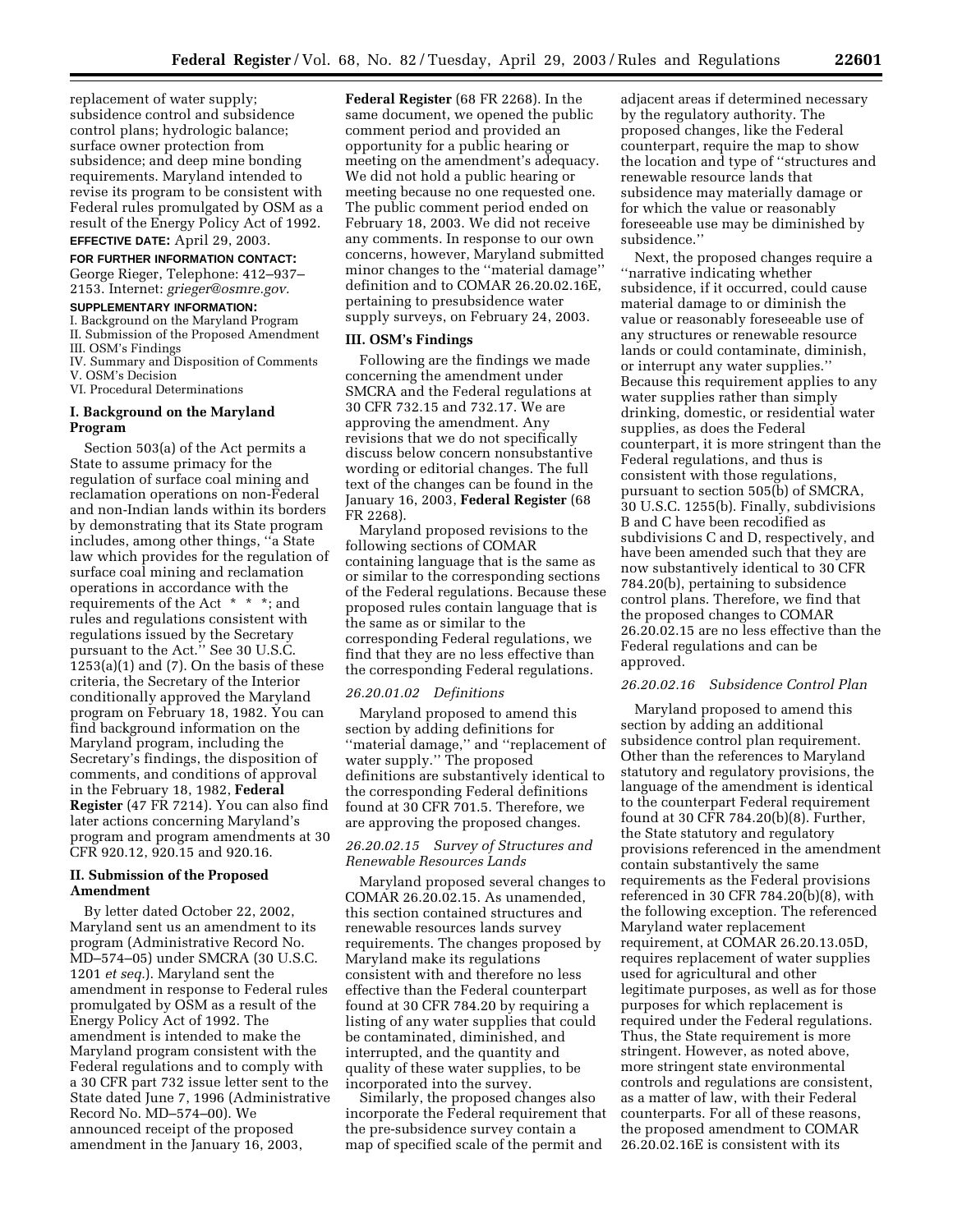replacement of water supply; subsidence control and subsidence control plans; hydrologic balance; surface owner protection from subsidence; and deep mine bonding requirements. Maryland intended to revise its program to be consistent with Federal rules promulgated by OSM as a result of the Energy Policy Act of 1992.

# **EFFECTIVE DATE:** April 29, 2003.

**FOR FURTHER INFORMATION CONTACT:**

George Rieger, Telephone: 412–937– 2153. Internet: *grieger@osmre.gov.*

## **SUPPLEMENTARY INFORMATION:**

I. Background on the Maryland Program II. Submission of the Proposed Amendment III. OSM's Findings

IV. Summary and Disposition of Comments V. OSM's Decision

VI. Procedural Determinations

## **I. Background on the Maryland Program**

Section 503(a) of the Act permits a State to assume primacy for the regulation of surface coal mining and reclamation operations on non-Federal and non-Indian lands within its borders by demonstrating that its State program includes, among other things, ''a State law which provides for the regulation of surface coal mining and reclamation operations in accordance with the requirements of the Act \* \* \*; and rules and regulations consistent with regulations issued by the Secretary pursuant to the Act.'' See 30 U.S.C.  $1253(a)(1)$  and (7). On the basis of these criteria, the Secretary of the Interior conditionally approved the Maryland program on February 18, 1982. You can find background information on the Maryland program, including the Secretary's findings, the disposition of comments, and conditions of approval in the February 18, 1982, **Federal Register** (47 FR 7214). You can also find later actions concerning Maryland's program and program amendments at 30 CFR 920.12, 920.15 and 920.16.

## **II. Submission of the Proposed Amendment**

By letter dated October 22, 2002, Maryland sent us an amendment to its program (Administrative Record No. MD–574–05) under SMCRA (30 U.S.C. 1201 *et seq.*). Maryland sent the amendment in response to Federal rules promulgated by OSM as a result of the Energy Policy Act of 1992. The amendment is intended to make the Maryland program consistent with the Federal regulations and to comply with a 30 CFR part 732 issue letter sent to the State dated June 7, 1996 (Administrative Record No. MD–574–00). We announced receipt of the proposed amendment in the January 16, 2003,

**Federal Register** (68 FR 2268). In the same document, we opened the public comment period and provided an opportunity for a public hearing or meeting on the amendment's adequacy. We did not hold a public hearing or meeting because no one requested one. The public comment period ended on February 18, 2003. We did not receive any comments. In response to our own concerns, however, Maryland submitted minor changes to the ''material damage'' definition and to COMAR 26.20.02.16E, pertaining to presubsidence water supply surveys, on February 24, 2003.

#### **III. OSM's Findings**

Following are the findings we made concerning the amendment under SMCRA and the Federal regulations at 30 CFR 732.15 and 732.17. We are approving the amendment. Any revisions that we do not specifically discuss below concern nonsubstantive wording or editorial changes. The full text of the changes can be found in the January 16, 2003, **Federal Register** (68 FR 2268).

Maryland proposed revisions to the following sections of COMAR containing language that is the same as or similar to the corresponding sections of the Federal regulations. Because these proposed rules contain language that is the same as or similar to the corresponding Federal regulations, we find that they are no less effective than the corresponding Federal regulations.

#### *26.20.01.02 Definitions*

Maryland proposed to amend this section by adding definitions for ''material damage,'' and ''replacement of water supply.'' The proposed definitions are substantively identical to the corresponding Federal definitions found at 30 CFR 701.5. Therefore, we are approving the proposed changes.

# *26.20.02.15 Survey of Structures and Renewable Resources Lands*

Maryland proposed several changes to COMAR 26.20.02.15. As unamended, this section contained structures and renewable resources lands survey requirements. The changes proposed by Maryland make its regulations consistent with and therefore no less effective than the Federal counterpart found at 30 CFR 784.20 by requiring a listing of any water supplies that could be contaminated, diminished, and interrupted, and the quantity and quality of these water supplies, to be incorporated into the survey.

Similarly, the proposed changes also incorporate the Federal requirement that the pre-subsidence survey contain a map of specified scale of the permit and

adjacent areas if determined necessary by the regulatory authority. The proposed changes, like the Federal counterpart, require the map to show the location and type of ''structures and renewable resource lands that subsidence may materially damage or for which the value or reasonably foreseeable use may be diminished by subsidence.''

Next, the proposed changes require a ''narrative indicating whether subsidence, if it occurred, could cause material damage to or diminish the value or reasonably foreseeable use of any structures or renewable resource lands or could contaminate, diminish, or interrupt any water supplies.'' Because this requirement applies to any water supplies rather than simply drinking, domestic, or residential water supplies, as does the Federal counterpart, it is more stringent than the Federal regulations, and thus is consistent with those regulations, pursuant to section 505(b) of SMCRA, 30 U.S.C. 1255(b). Finally, subdivisions B and C have been recodified as subdivisions C and D, respectively, and have been amended such that they are now substantively identical to 30 CFR 784.20(b), pertaining to subsidence control plans. Therefore, we find that the proposed changes to COMAR 26.20.02.15 are no less effective than the Federal regulations and can be approved.

## *26.20.02.16 Subsidence Control Plan*

Maryland proposed to amend this section by adding an additional subsidence control plan requirement. Other than the references to Maryland statutory and regulatory provisions, the language of the amendment is identical to the counterpart Federal requirement found at 30 CFR 784.20(b)(8). Further, the State statutory and regulatory provisions referenced in the amendment contain substantively the same requirements as the Federal provisions referenced in 30 CFR 784.20(b)(8), with the following exception. The referenced Maryland water replacement requirement, at COMAR 26.20.13.05D, requires replacement of water supplies used for agricultural and other legitimate purposes, as well as for those purposes for which replacement is required under the Federal regulations. Thus, the State requirement is more stringent. However, as noted above, more stringent state environmental controls and regulations are consistent, as a matter of law, with their Federal counterparts. For all of these reasons, the proposed amendment to COMAR 26.20.02.16E is consistent with its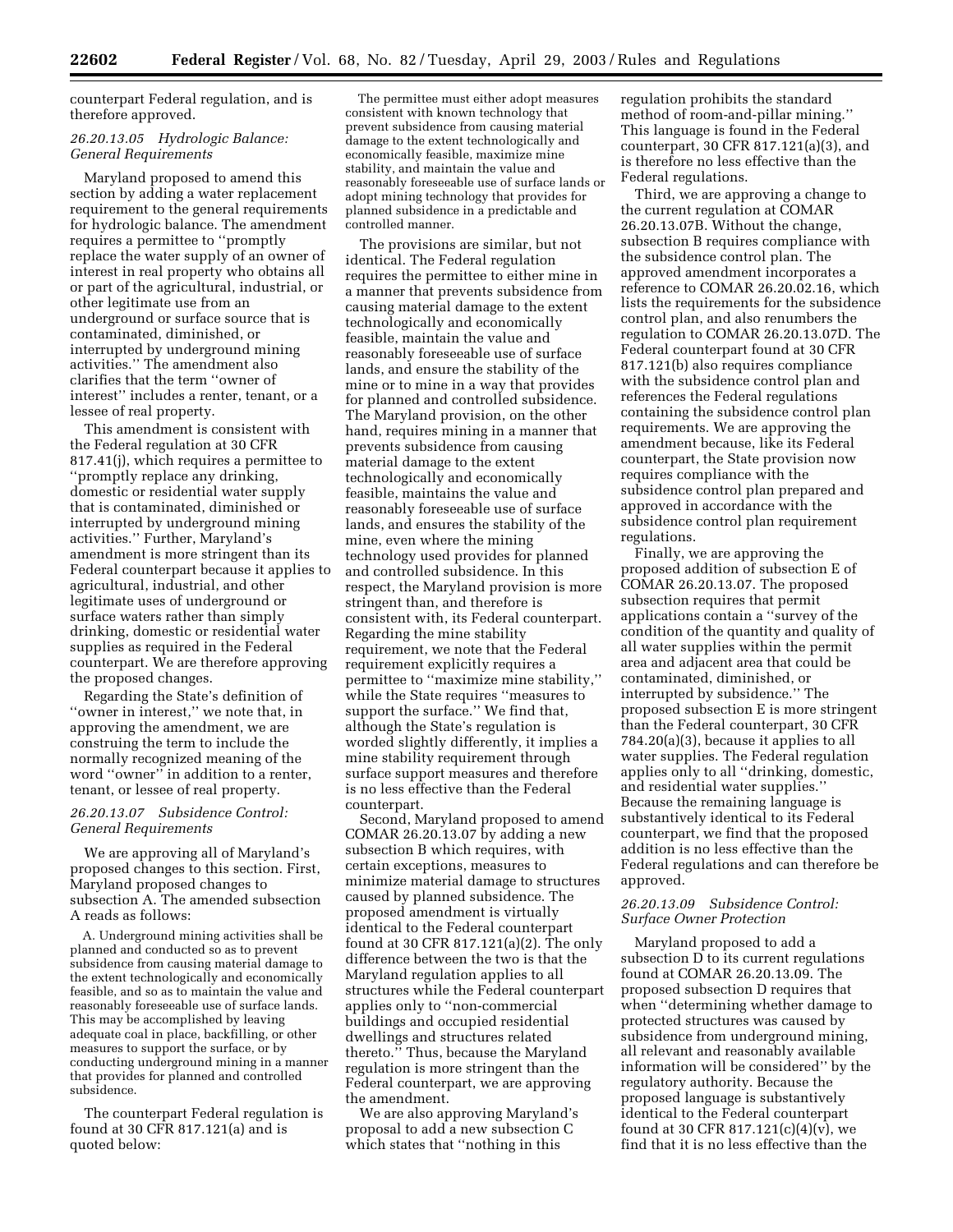counterpart Federal regulation, and is therefore approved.

#### *26.20.13.05 Hydrologic Balance: General Requirements*

Maryland proposed to amend this section by adding a water replacement requirement to the general requirements for hydrologic balance. The amendment requires a permittee to ''promptly replace the water supply of an owner of interest in real property who obtains all or part of the agricultural, industrial, or other legitimate use from an underground or surface source that is contaminated, diminished, or interrupted by underground mining activities.'' The amendment also clarifies that the term ''owner of interest'' includes a renter, tenant, or a lessee of real property.

This amendment is consistent with the Federal regulation at 30 CFR 817.41(j), which requires a permittee to ''promptly replace any drinking, domestic or residential water supply that is contaminated, diminished or interrupted by underground mining activities.'' Further, Maryland's amendment is more stringent than its Federal counterpart because it applies to agricultural, industrial, and other legitimate uses of underground or surface waters rather than simply drinking, domestic or residential water supplies as required in the Federal counterpart. We are therefore approving the proposed changes.

Regarding the State's definition of ''owner in interest,'' we note that, in approving the amendment, we are construing the term to include the normally recognized meaning of the word ''owner'' in addition to a renter, tenant, or lessee of real property.

# *26.20.13.07 Subsidence Control: General Requirements*

We are approving all of Maryland's proposed changes to this section. First, Maryland proposed changes to subsection A. The amended subsection A reads as follows:

A. Underground mining activities shall be planned and conducted so as to prevent subsidence from causing material damage to the extent technologically and economically feasible, and so as to maintain the value and reasonably foreseeable use of surface lands. This may be accomplished by leaving adequate coal in place, backfilling, or other measures to support the surface, or by conducting underground mining in a manner that provides for planned and controlled subsidence.

The counterpart Federal regulation is found at 30 CFR 817.121(a) and is quoted below:

The permittee must either adopt measures consistent with known technology that prevent subsidence from causing material damage to the extent technologically and economically feasible, maximize mine stability, and maintain the value and reasonably foreseeable use of surface lands or adopt mining technology that provides for planned subsidence in a predictable and controlled manner.

The provisions are similar, but not identical. The Federal regulation requires the permittee to either mine in a manner that prevents subsidence from causing material damage to the extent technologically and economically feasible, maintain the value and reasonably foreseeable use of surface lands, and ensure the stability of the mine or to mine in a way that provides for planned and controlled subsidence. The Maryland provision, on the other hand, requires mining in a manner that prevents subsidence from causing material damage to the extent technologically and economically feasible, maintains the value and reasonably foreseeable use of surface lands, and ensures the stability of the mine, even where the mining technology used provides for planned and controlled subsidence. In this respect, the Maryland provision is more stringent than, and therefore is consistent with, its Federal counterpart. Regarding the mine stability requirement, we note that the Federal requirement explicitly requires a permittee to ''maximize mine stability,'' while the State requires ''measures to support the surface.'' We find that, although the State's regulation is worded slightly differently, it implies a mine stability requirement through surface support measures and therefore is no less effective than the Federal counterpart.

Second, Maryland proposed to amend COMAR 26.20.13.07 by adding a new subsection B which requires, with certain exceptions, measures to minimize material damage to structures caused by planned subsidence. The proposed amendment is virtually identical to the Federal counterpart found at 30 CFR 817.121(a)(2). The only difference between the two is that the Maryland regulation applies to all structures while the Federal counterpart applies only to ''non-commercial buildings and occupied residential dwellings and structures related thereto.'' Thus, because the Maryland regulation is more stringent than the Federal counterpart, we are approving the amendment.

We are also approving Maryland's proposal to add a new subsection C which states that ''nothing in this

regulation prohibits the standard method of room-and-pillar mining.'' This language is found in the Federal counterpart, 30 CFR 817.121(a)(3), and is therefore no less effective than the Federal regulations.

Third, we are approving a change to the current regulation at COMAR 26.20.13.07B. Without the change, subsection B requires compliance with the subsidence control plan. The approved amendment incorporates a reference to COMAR 26.20.02.16, which lists the requirements for the subsidence control plan, and also renumbers the regulation to COMAR 26.20.13.07D. The Federal counterpart found at 30 CFR 817.121(b) also requires compliance with the subsidence control plan and references the Federal regulations containing the subsidence control plan requirements. We are approving the amendment because, like its Federal counterpart, the State provision now requires compliance with the subsidence control plan prepared and approved in accordance with the subsidence control plan requirement regulations.

Finally, we are approving the proposed addition of subsection E of COMAR 26.20.13.07. The proposed subsection requires that permit applications contain a ''survey of the condition of the quantity and quality of all water supplies within the permit area and adjacent area that could be contaminated, diminished, or interrupted by subsidence.'' The proposed subsection E is more stringent than the Federal counterpart, 30 CFR 784.20(a)(3), because it applies to all water supplies. The Federal regulation applies only to all ''drinking, domestic, and residential water supplies.'' Because the remaining language is substantively identical to its Federal counterpart, we find that the proposed addition is no less effective than the Federal regulations and can therefore be approved.

#### *26.20.13.09 Subsidence Control: Surface Owner Protection*

Maryland proposed to add a subsection D to its current regulations found at COMAR 26.20.13.09. The proposed subsection D requires that when ''determining whether damage to protected structures was caused by subsidence from underground mining, all relevant and reasonably available information will be considered'' by the regulatory authority. Because the proposed language is substantively identical to the Federal counterpart found at 30 CFR 817.121(c)(4)(v), we find that it is no less effective than the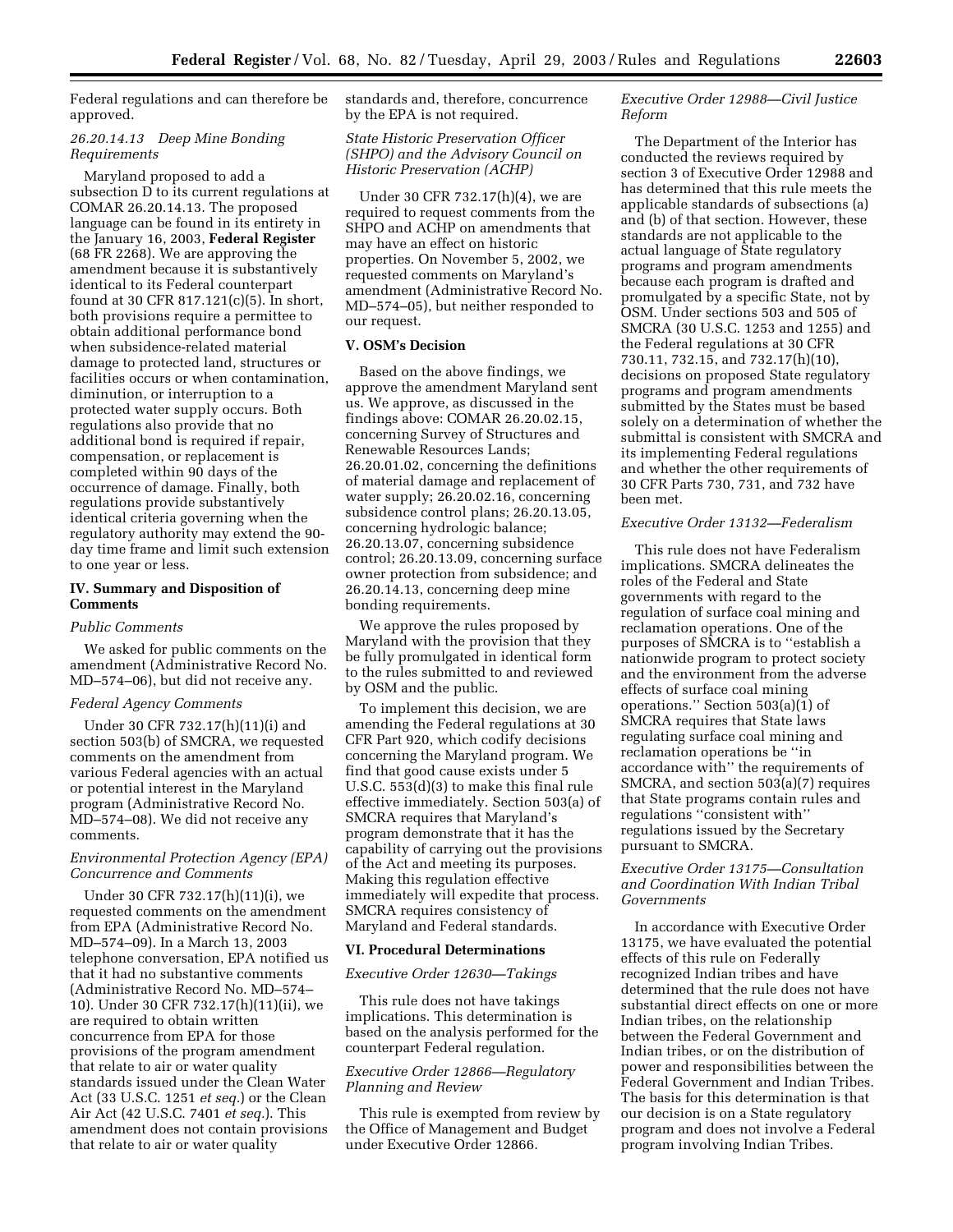Federal regulations and can therefore be approved.

## *26.20.14.13 Deep Mine Bonding Requirements*

Maryland proposed to add a subsection D to its current regulations at COMAR 26.20.14.13. The proposed language can be found in its entirety in the January 16, 2003, **Federal Register** (68 FR 2268). We are approving the amendment because it is substantively identical to its Federal counterpart found at 30 CFR 817.121(c)(5). In short, both provisions require a permittee to obtain additional performance bond when subsidence-related material damage to protected land, structures or facilities occurs or when contamination, diminution, or interruption to a protected water supply occurs. Both regulations also provide that no additional bond is required if repair, compensation, or replacement is completed within 90 days of the occurrence of damage. Finally, both regulations provide substantively identical criteria governing when the regulatory authority may extend the 90 day time frame and limit such extension to one year or less.

# **IV. Summary and Disposition of Comments**

#### *Public Comments*

We asked for public comments on the amendment (Administrative Record No. MD–574–06), but did not receive any.

## *Federal Agency Comments*

Under 30 CFR 732.17(h)(11)(i) and section 503(b) of SMCRA, we requested comments on the amendment from various Federal agencies with an actual or potential interest in the Maryland program (Administrative Record No. MD–574–08). We did not receive any comments.

## *Environmental Protection Agency (EPA) Concurrence and Comments*

Under 30 CFR 732.17(h)(11)(i), we requested comments on the amendment from EPA (Administrative Record No. MD–574–09). In a March 13, 2003 telephone conversation, EPA notified us that it had no substantive comments (Administrative Record No. MD–574– 10). Under 30 CFR 732.17(h)(11)(ii), we are required to obtain written concurrence from EPA for those provisions of the program amendment that relate to air or water quality standards issued under the Clean Water Act (33 U.S.C. 1251 *et seq.*) or the Clean Air Act (42 U.S.C. 7401 *et seq.*). This amendment does not contain provisions that relate to air or water quality

standards and, therefore, concurrence by the EPA is not required.

## *State Historic Preservation Officer (SHPO) and the Advisory Council on Historic Preservation (ACHP)*

Under 30 CFR 732.17(h)(4), we are required to request comments from the SHPO and ACHP on amendments that may have an effect on historic properties. On November 5, 2002, we requested comments on Maryland's amendment (Administrative Record No. MD–574–05), but neither responded to our request.

#### **V. OSM's Decision**

Based on the above findings, we approve the amendment Maryland sent us. We approve, as discussed in the findings above: COMAR 26.20.02.15, concerning Survey of Structures and Renewable Resources Lands; 26.20.01.02, concerning the definitions of material damage and replacement of water supply; 26.20.02.16, concerning subsidence control plans; 26.20.13.05, concerning hydrologic balance; 26.20.13.07, concerning subsidence control; 26.20.13.09, concerning surface owner protection from subsidence; and 26.20.14.13, concerning deep mine bonding requirements.

We approve the rules proposed by Maryland with the provision that they be fully promulgated in identical form to the rules submitted to and reviewed by OSM and the public.

To implement this decision, we are amending the Federal regulations at 30 CFR Part 920, which codify decisions concerning the Maryland program. We find that good cause exists under 5 U.S.C. 553(d)(3) to make this final rule effective immediately. Section 503(a) of SMCRA requires that Maryland's program demonstrate that it has the capability of carrying out the provisions of the Act and meeting its purposes. Making this regulation effective immediately will expedite that process. SMCRA requires consistency of Maryland and Federal standards.

#### **VI. Procedural Determinations**

#### *Executive Order 12630—Takings*

This rule does not have takings implications. This determination is based on the analysis performed for the counterpart Federal regulation.

# *Executive Order 12866—Regulatory Planning and Review*

This rule is exempted from review by the Office of Management and Budget under Executive Order 12866.

## *Executive Order 12988—Civil Justice Reform*

The Department of the Interior has conducted the reviews required by section 3 of Executive Order 12988 and has determined that this rule meets the applicable standards of subsections (a) and (b) of that section. However, these standards are not applicable to the actual language of State regulatory programs and program amendments because each program is drafted and promulgated by a specific State, not by OSM. Under sections 503 and 505 of SMCRA (30 U.S.C. 1253 and 1255) and the Federal regulations at 30 CFR 730.11, 732.15, and 732.17(h)(10), decisions on proposed State regulatory programs and program amendments submitted by the States must be based solely on a determination of whether the submittal is consistent with SMCRA and its implementing Federal regulations and whether the other requirements of 30 CFR Parts 730, 731, and 732 have been met.

### *Executive Order 13132—Federalism*

This rule does not have Federalism implications. SMCRA delineates the roles of the Federal and State governments with regard to the regulation of surface coal mining and reclamation operations. One of the purposes of SMCRA is to ''establish a nationwide program to protect society and the environment from the adverse effects of surface coal mining operations.'' Section 503(a)(1) of SMCRA requires that State laws regulating surface coal mining and reclamation operations be ''in accordance with'' the requirements of SMCRA, and section 503(a)(7) requires that State programs contain rules and regulations ''consistent with'' regulations issued by the Secretary pursuant to SMCRA.

## *Executive Order 13175—Consultation and Coordination With Indian Tribal Governments*

In accordance with Executive Order 13175, we have evaluated the potential effects of this rule on Federally recognized Indian tribes and have determined that the rule does not have substantial direct effects on one or more Indian tribes, on the relationship between the Federal Government and Indian tribes, or on the distribution of power and responsibilities between the Federal Government and Indian Tribes. The basis for this determination is that our decision is on a State regulatory program and does not involve a Federal program involving Indian Tribes.